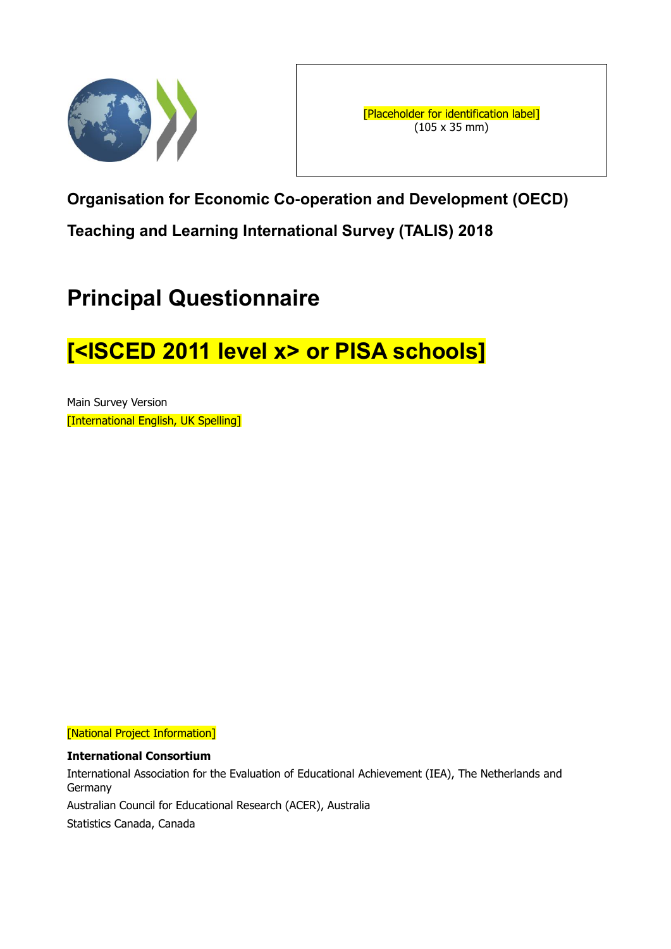

**Organisation for Economic Co-operation and Development (OECD) Teaching and Learning International Survey (TALIS) 2018**

# **Principal Questionnaire**

# **[<ISCED 2011 level x> or PISA schools]**

Main Survey Version [International English, UK Spelling]

[National Project Information]

# **International Consortium**

International Association for the Evaluation of Educational Achievement (IEA), The Netherlands and Germany Australian Council for Educational Research (ACER), Australia

Statistics Canada, Canada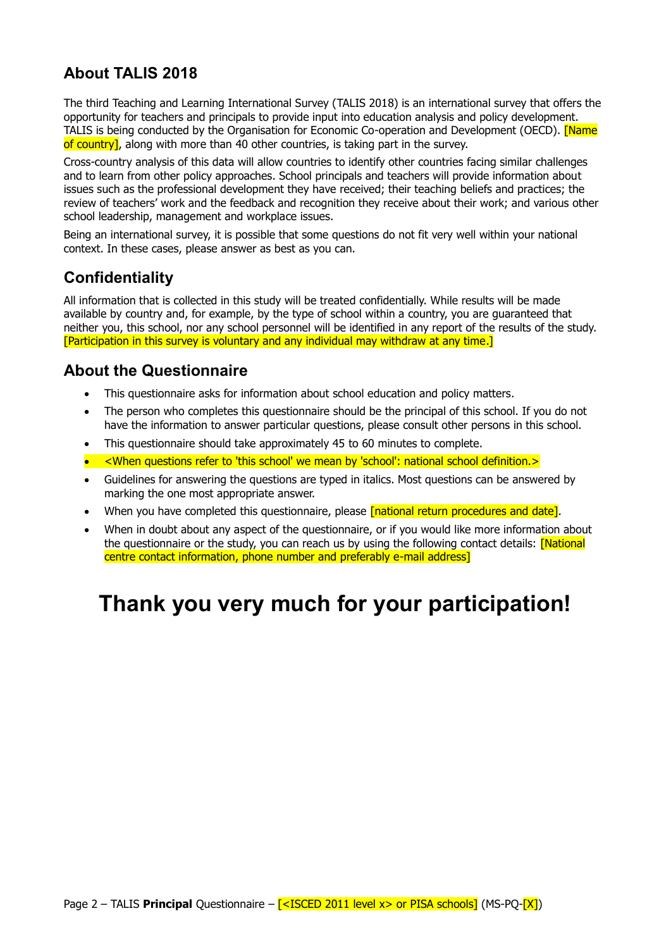# **About TALIS 2018**

The third Teaching and Learning International Survey (TALIS 2018) is an international survey that offers the opportunity for teachers and principals to provide input into education analysis and policy development. TALIS is being conducted by the Organisation for Economic Co-operation and Development (OECD). [Name of country], along with more than 40 other countries, is taking part in the survey.

Cross-country analysis of this data will allow countries to identify other countries facing similar challenges and to learn from other policy approaches. School principals and teachers will provide information about issues such as the professional development they have received; their teaching beliefs and practices; the review of teachers' work and the feedback and recognition they receive about their work; and various other school leadership, management and workplace issues.

Being an international survey, it is possible that some questions do not fit very well within your national context. In these cases, please answer as best as you can.

# **Confidentiality**

All information that is collected in this study will be treated confidentially. While results will be made available by country and, for example, by the type of school within a country, you are guaranteed that neither you, this school, nor any school personnel will be identified in any report of the results of the study. [Participation in this survey is voluntary and any individual may withdraw at any time.]

# **About the Questionnaire**

- This questionnaire asks for information about school education and policy matters.
- The person who completes this questionnaire should be the principal of this school. If you do not have the information to answer particular questions, please consult other persons in this school.
- This questionnaire should take approximately 45 to 60 minutes to complete.
- <When questions refer to 'this school' we mean by 'school': national school definition.>
- Guidelines for answering the questions are typed in italics. Most questions can be answered by marking the one most appropriate answer.
- When you have completed this questionnaire, please **[national return procedures and date]**.
- When in doubt about any aspect of the questionnaire, or if you would like more information about the questionnaire or the study, you can reach us by using the following contact details: **[National**] centre contact information, phone number and preferably e-mail address]

# **Thank you very much for your participation!**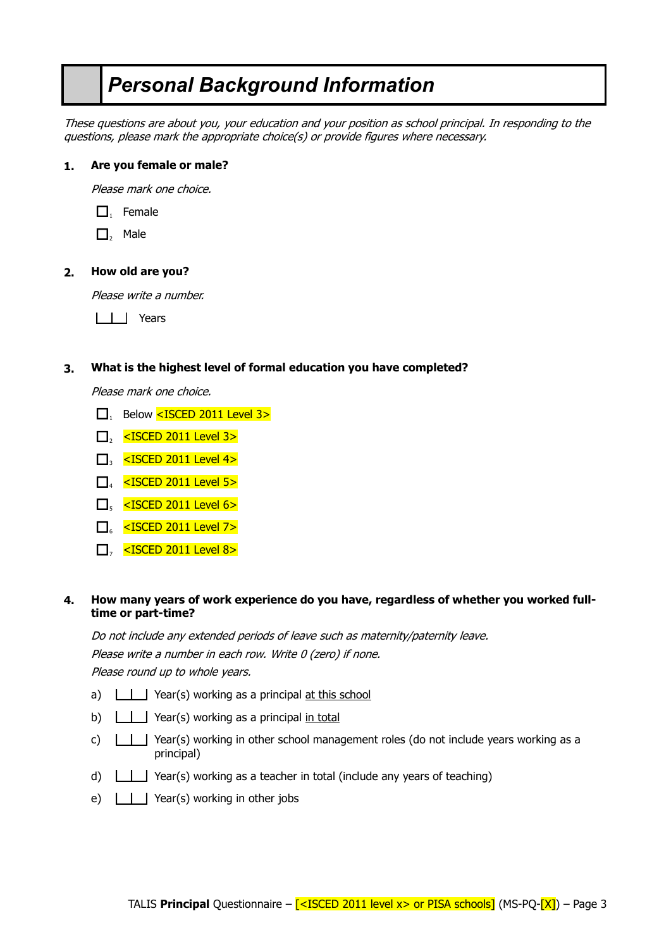# *Personal Background Information*

These questions are about you, your education and your position as school principal. In responding to the questions, please mark the appropriate choice(s) or provide figures where necessary.

# **1. Are you female or male?**

Please mark one choice.

- $\Box$ , Female
- $\Box$ , Male

#### **2. How old are you?**

Please write a number.

III Years

#### **3. What is the highest level of formal education you have completed?**

Please mark one choice.

- $\Box$ , Below <ISCED 2011 Level 3>
- $\Box$ <sub>2</sub> <ISCED 2011 Level 3>
- $\Box$  <ISCED 2011 Level 4>
- $\Box$  <ISCED 2011 Level 5>
- $\Box$ <sub>5</sub> <ISCED 2011 Level 6>
- $\Box$  <ISCED 2011 Level 7>
- $\Box$ , <ISCED 2011 Level 8>

#### **4. How many years of work experience do you have, regardless of whether you worked fulltime or part-time?**

Do not include any extended periods of leave such as maternity/paternity leave. Please write a number in each row. Write 0 (zero) if none. Please round up to whole years.

- a)  $\Box$  Year(s) working as a principal at this school
- b)  $\boxed{\phantom{a}}$  Year(s) working as a principal in total
- c)  $\Box$  Year(s) working in other school management roles (do not include years working as a principal)
- d)  $\Box$  Year(s) working as a teacher in total (include any years of teaching)
- e)  $\boxed{\phantom{a}}$  Year(s) working in other jobs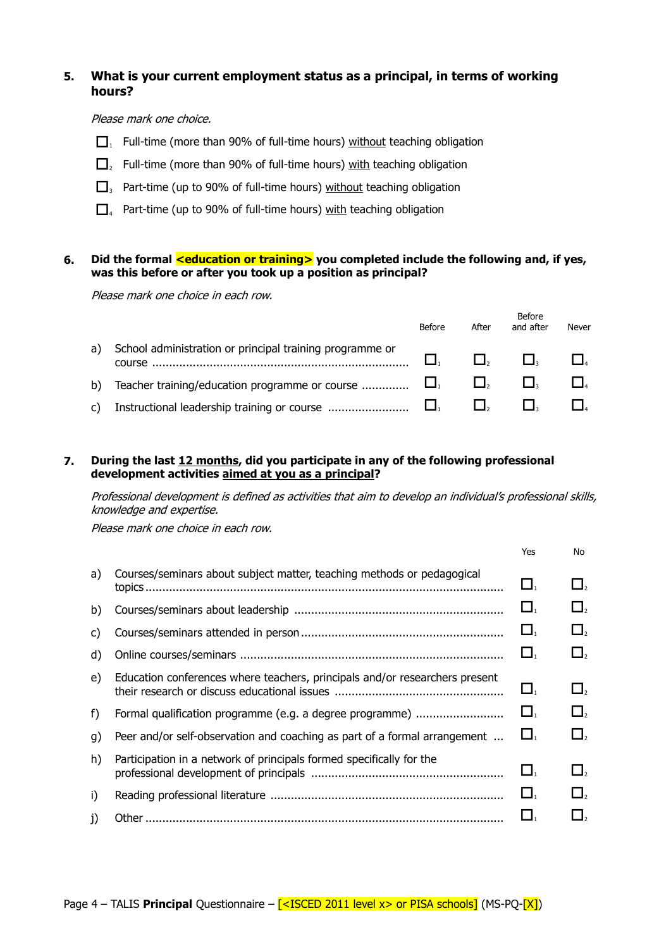# **5. What is your current employment status as a principal, in terms of working hours?**

#### Please mark one choice.

- $\Box$ , Full-time (more than 90% of full-time hours) without teaching obligation
- $\Box$ , Full-time (more than 90% of full-time hours) with teaching obligation
- $\Box$ <sub>3</sub> Part-time (up to 90% of full-time hours) without teaching obligation
- $\Box$ <sub>4</sub> Part-time (up to 90% of full-time hours) with teaching obligation

# **6. Did the formal <education or training> you completed include the following and, if yes, was this before or after you took up a position as principal?**

Please mark one choice in each row.

|    |                                                                           | Before | After | Before<br>and after | Never |
|----|---------------------------------------------------------------------------|--------|-------|---------------------|-------|
| a) | School administration or principal training programme or<br><b>COULSE</b> |        |       |                     |       |
| b) | Teacher training/education programme or course $\Box$                     |        |       |                     |       |
| C) |                                                                           |        |       |                     |       |

# **7. During the last 12 months, did you participate in any of the following professional development activities aimed at you as a principal?**

Professional development is defined as activities that aim to develop an individual's professional skills, knowledge and expertise.

|    |                                                                                                                            | Yes                            | No.      |
|----|----------------------------------------------------------------------------------------------------------------------------|--------------------------------|----------|
| a) | Courses/seminars about subject matter, teaching methods or pedagogical<br><u>topics …………………………………………………………………………………………</u> | $\Box_1$                       | $\Box$   |
| b) |                                                                                                                            | $\Box_1$                       | $\Box$ , |
| C) |                                                                                                                            | $\Box_{\scriptscriptstyle{1}}$ | $\Box$ , |
| d) |                                                                                                                            | $\Box_{1}$                     | $\Box$ , |
| e) | Education conferences where teachers, principals and/or researchers present                                                | $\Box_{\scriptscriptstyle{1}}$ | $\Box$ , |
| f) | Formal qualification programme (e.g. a degree programme)                                                                   | $\Box_{1}$                     | $\Box$   |
| g) | Peer and/or self-observation and coaching as part of a formal arrangement                                                  | $\Box$                         | $\Box$   |
| h) | Participation in a network of principals formed specifically for the                                                       | $\Box_{1}$                     | $\Box$ , |
| i) |                                                                                                                            | $\Box_1$                       | $\Box$ , |
| j) |                                                                                                                            |                                |          |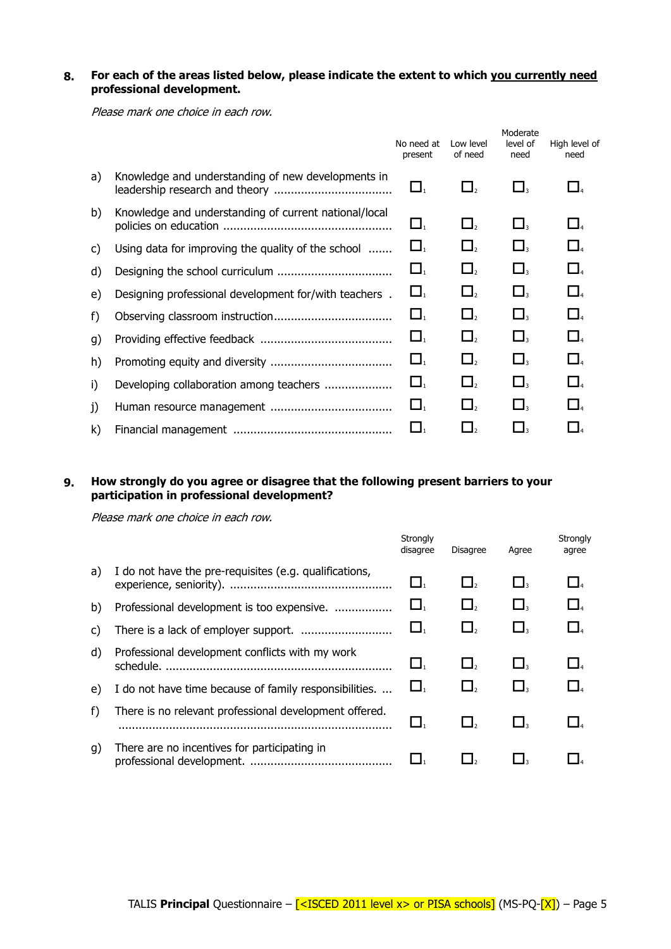# **8. For each of the areas listed below, please indicate the extent to which you currently need professional development.**

Please mark one choice in each row.

|    |                                                       | No need at<br>present | Low level<br>of need | Moderate<br>level of<br>need | High level of<br>need |
|----|-------------------------------------------------------|-----------------------|----------------------|------------------------------|-----------------------|
| a) | Knowledge and understanding of new developments in    | $\Box_1$              | $\Box$ <sub>2</sub>  | $\Box$                       | $\Box$                |
| b) | Knowledge and understanding of current national/local | $\Box_{1}$            | $\Box$               | $\Box$                       | $\Box$                |
| C) | Using data for improving the quality of the school    | $\Box$                | $\Box$ <sub>2</sub>  | $\Box$                       | $\Box$                |
| d) |                                                       | $\Box_{1}$            | $\Box$ ,             | $\Box$                       | $\Box$ <sub>4</sub>   |
| e) | Designing professional development for/with teachers. | $\Box$                | $\Box$ ,             | $\square$                    | $\Box$                |
| f) |                                                       | $\Box_{1}$            | $\Box$               | $\Box$                       | $\Box$                |
| g) |                                                       | $\Box$                | $\Box$               | $\Box$                       | $\Box$                |
| h) |                                                       | $\Box$                | $\Box$ ,             | $\Box$                       | $\Box$                |
| i) |                                                       | $\Box$                | $\Box$ <sub>2</sub>  | $\sqcup$                     | $\Box$                |
| j) |                                                       | $\Box$                | $\Box$ ,             | $\Box$                       | $\Box$                |
| k) |                                                       | $\Box$                | $\Box$ ,             | $\Box$                       |                       |

# **9. How strongly do you agree or disagree that the following present barriers to your participation in professional development?**

|    |                                                              | Strongly<br>disagree | <b>Disagree</b> | Agree  | Strongly<br>agree |
|----|--------------------------------------------------------------|----------------------|-----------------|--------|-------------------|
| a) | I do not have the pre-requisites (e.g. qualifications,       | Ц.                   | $\Box$ ,        | $\Box$ | $\Box$            |
| b) | Professional development is too expensive.                   | LI.                  | $\Box$ ,        | $\Box$ | $\Box$            |
| C) |                                                              | $\Box$               | $\Box$ ,        | $\Box$ | $\Box$            |
| d) | Professional development conflicts with my work<br>schedule. | $\Box$               | $\Box$ ,        | $\Box$ |                   |
| e) | I do not have time because of family responsibilities.       | Ц.                   |                 | $\Box$ | $\Box$            |
| f) | There is no relevant professional development offered.       | LI.                  |                 | ΙI,    |                   |
| q) | There are no incentives for participating in                 |                      |                 |        |                   |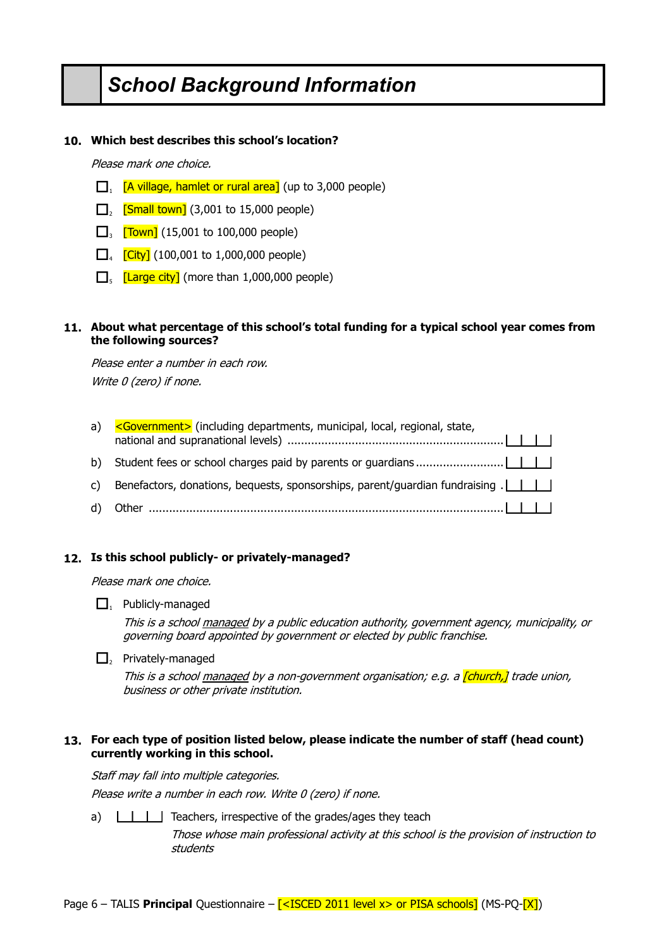# *School Background Information*

# **10. Which best describes this school's location?**

Please mark one choice.

- $\Box$  [A village, hamlet or rural area] (up to 3,000 people)
- $\Box$ <sub>2</sub> [Small town] (3,001 to 15,000 people)
- $\Box_{3}$  [Town] (15,001 to 100,000 people)
- $\Box_{4}$  [City] (100,001 to 1,000,000 people)
- $\Box_{5}$  [Large city] (more than 1,000,000 people)

# **11. About what percentage of this school's total funding for a typical school year comes from the following sources?**

Please enter a number in each row. Write 0 (zero) if none.

| a) | <government> (including departments, municipal, local, regional, state,</government>                                          |
|----|-------------------------------------------------------------------------------------------------------------------------------|
|    |                                                                                                                               |
|    | c) Benefactors, donations, bequests, sponsorships, parent/guardian fundraising $\begin{bmatrix} 1 & 1 \\ 1 & 1 \end{bmatrix}$ |
|    |                                                                                                                               |

# **12. Is this school publicly- or privately-managed?**

Please mark one choice.

 $\Box$ , Publicly-managed

This is a school managed by a public education authority, government agency, municipality, or governing board appointed by government or elected by public franchise.

 $\Box$ <sub>2</sub> Privately-managed

This is a school managed by a non-government organisation; e.g. a *[church,]* trade union, business or other private institution.

# **13. For each type of position listed below, please indicate the number of staff (head count) currently working in this school.**

Staff may fall into multiple categories.

Please write a number in each row. Write 0 (zero) if none.

a)  $\Box$  Teachers, irrespective of the grades/ages they teach

Those whose main professional activity at this school is the provision of instruction to students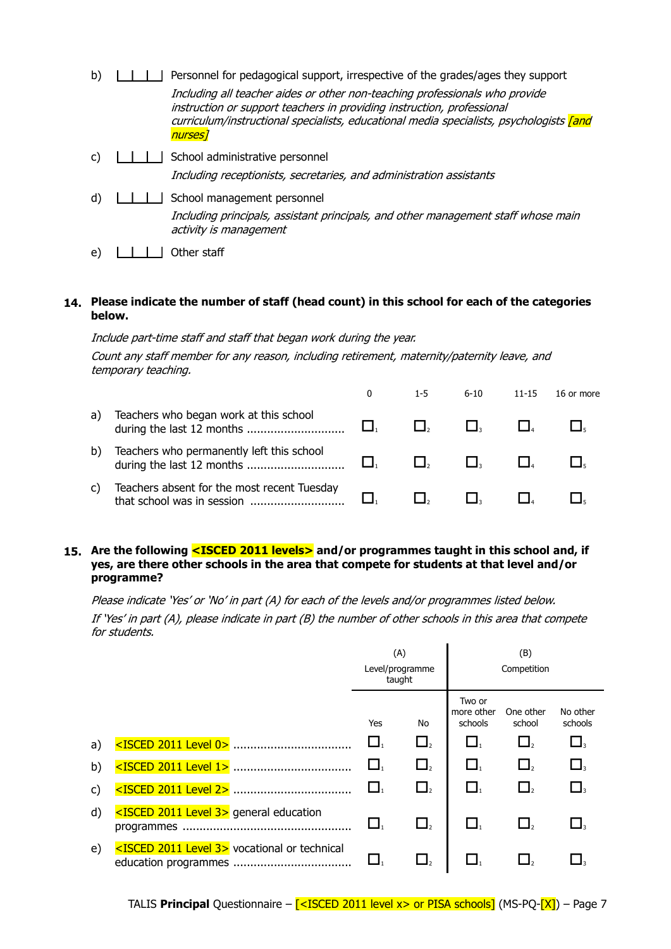- b)  $\parallel$   $\parallel$   $\parallel$  Personnel for pedagogical support, irrespective of the grades/ages they support Including all teacher aides or other non-teaching professionals who provide instruction or support teachers in providing instruction, professional curriculum/instructional specialists, educational media specialists, psychologists *[and* nurses]
- c) School administrative personnel Including receptionists, secretaries, and administration assistants
- d)  $\Box$  School management personnel Including principals, assistant principals, and other management staff whose main activity is management
- e) Other staff

# **14. Please indicate the number of staff (head count) in this school for each of the categories below.**

Include part-time staff and staff that began work during the year. Count any staff member for any reason, including retirement, maternity/paternity leave, and temporary teaching.

|    |                                                                           | 1-5 | $6 - 10$ | 11-15 | 16 or more |
|----|---------------------------------------------------------------------------|-----|----------|-------|------------|
| a) | Teachers who began work at this school                                    |     |          |       |            |
| b) | Teachers who permanently left this school<br>during the last 12 months    |     |          |       |            |
| C) | Teachers absent for the most recent Tuesday<br>that school was in session |     |          |       |            |

# **15. Are the following <ISCED 2011 levels> and/or programmes taught in this school and, if yes, are there other schools in the area that compete for students at that level and/or programme?**

Please indicate 'Yes' or 'No' in part (A) for each of the levels and/or programmes listed below. If 'Yes' in part (A), please indicate in part (B) the number of other schools in this area that compete for students.

|    |                                                               | (A)<br>Level/programme<br>taught |          |                                 | (B)<br>Competition  |                     |
|----|---------------------------------------------------------------|----------------------------------|----------|---------------------------------|---------------------|---------------------|
|    |                                                               | Yes                              | No       | Two or<br>more other<br>schools | One other<br>school | No other<br>schools |
| a) |                                                               | $\Box$                           | $\Box$   | $\Box_1$                        | $\Box$ <sub>2</sub> |                     |
| b) |                                                               |                                  | $\Box$ , | $\mathbf{\mathsf{L}}$           |                     |                     |
| C) |                                                               | $\Box_1$                         | $\Box$   | $\Box$                          | $\Box$ ,            |                     |
| d) | <isced 2011="" 3="" level=""> general education</isced>       | $\Box_1$                         | $\Box$   | LI.                             |                     |                     |
| e) | <isced 2011="" 3="" level=""> vocational or technical</isced> |                                  |          |                                 |                     |                     |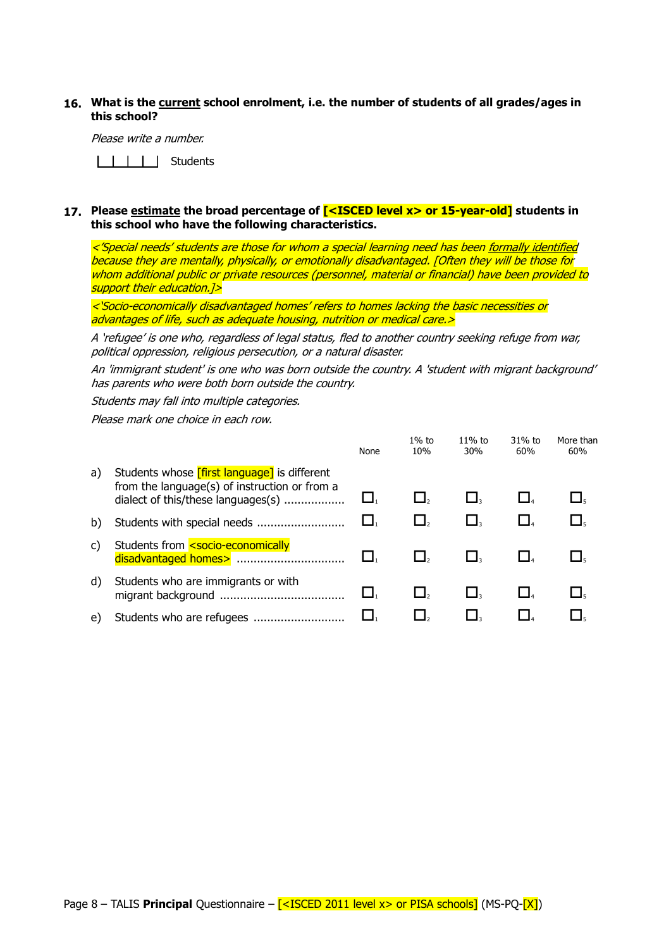### **16. What is the current school enrolment, i.e. the number of students of all grades/ages in this school?**

Please write a number.

IIIII Students

#### **17. Please estimate the broad percentage of [<ISCED level x> or 15-year-old] students in this school who have the following characteristics.**

<sup>&</sup>lt;'Special needs' students are those for whom a special learning need has been formally identified because they are mentally, physically, or emotionally disadvantaged. [Often they will be those for whom additional public or private resources (personnel, material or financial) have been provided to support their education.<sup>1></sup>

<sup>&</sup>lt;'Socio-economically disadvantaged homes' refers to homes lacking the basic necessities or advantages of life, such as adequate housing, nutrition or medical care.>

A 'refugee' is one who, regardless of legal status, fled to another country seeking refuge from war, political oppression, religious persecution, or a natural disaster.

An 'immigrant student' is one who was born outside the country. A 'student with migrant background' has parents who were both born outside the country.

Students may fall into multiple categories.

|    |                                                                                                                                            | None | $1\%$ to<br>10% | $11\%$ to<br>30% | 31% to<br>60% | More than<br>60% |
|----|--------------------------------------------------------------------------------------------------------------------------------------------|------|-----------------|------------------|---------------|------------------|
| a) | Students whose <i>[first language]</i> is different<br>from the language(s) of instruction or from a<br>dialect of this/these languages(s) |      |                 |                  |               |                  |
| b) | Students with special needs                                                                                                                |      |                 |                  |               |                  |
| C) | Students from <socio-economically<br>disadvantaged homes&gt; </socio-economically<br>                                                      |      |                 |                  |               |                  |
| d) | Students who are immigrants or with                                                                                                        |      |                 |                  |               | ∟,               |
| e) |                                                                                                                                            |      |                 |                  |               |                  |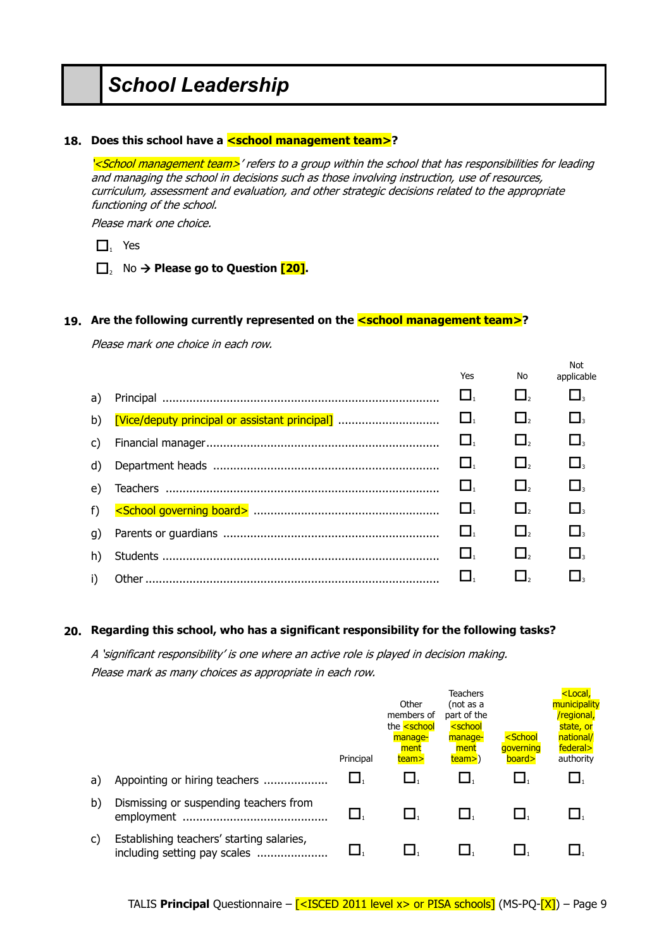# *School Leadership*

### 18. Does this school have a **<school management team>**?

'<School management team>' refers to a group within the school that has responsibilities for leading and managing the school in decisions such as those involving instruction, use of resources, curriculum, assessment and evaluation, and other strategic decisions related to the appropriate functioning of the school.

Please mark one choice.

- $\Box$ , Yes
- □, No → Please go to Question <sup>[20]</sup>.

#### 19. Are the following currently represented on the **<school management team>**?

Please mark one choice in each row.

|    |                                                | Yes                            | No          | Not<br>applicable                     |
|----|------------------------------------------------|--------------------------------|-------------|---------------------------------------|
| a) |                                                |                                | $\Box$ ,    |                                       |
| b) | [Vice/deputy principal or assistant principal] | $\Box$                         | $\Box$ ,    | $\Box$                                |
| C) |                                                | $\Box$                         | $\square$ , |                                       |
| d) |                                                | $\Box_{\scriptscriptstyle{1}}$ | $\Box$ ,    |                                       |
| e) |                                                | ⊔.                             | $\Box$ ,    | $\Box$                                |
| f) |                                                | $\Box$                         | $\Box$ ,    |                                       |
| g) |                                                | $\Box$                         | $\Box$ ,    |                                       |
| h) |                                                | L .                            | $\Box$      | $\Box_{\scriptscriptstyle\mathsf{3}}$ |
| i) |                                                |                                |             |                                       |

# **20. Regarding this school, who has a significant responsibility for the following tasks?**

A 'significant responsibility' is one where an active role is played in decision making. Please mark as many choices as appropriate in each row.

|    |                                                                           | Principal | Other<br>members of<br>the <b><school< b=""><br/>manage-<br/>ment<br/>team&gt;</school<></b> | Teachers<br>(not as a<br>part of the<br><school<br>manage-<br/>ment<br/>team&gt;)</school<br> | <school<br>aoverning<br/>board&gt;</school<br> | <local,<br>municipality<br/>/regional,<br/>state, or<br/>national/<br/>federal&gt;<br/>authority</local,<br> |
|----|---------------------------------------------------------------------------|-----------|----------------------------------------------------------------------------------------------|-----------------------------------------------------------------------------------------------|------------------------------------------------|--------------------------------------------------------------------------------------------------------------|
| a) | Appointing or hiring teachers                                             |           |                                                                                              |                                                                                               |                                                |                                                                                                              |
| b) | Dismissing or suspending teachers from                                    |           |                                                                                              |                                                                                               |                                                |                                                                                                              |
| C) | Establishing teachers' starting salaries,<br>including setting pay scales |           |                                                                                              |                                                                                               |                                                |                                                                                                              |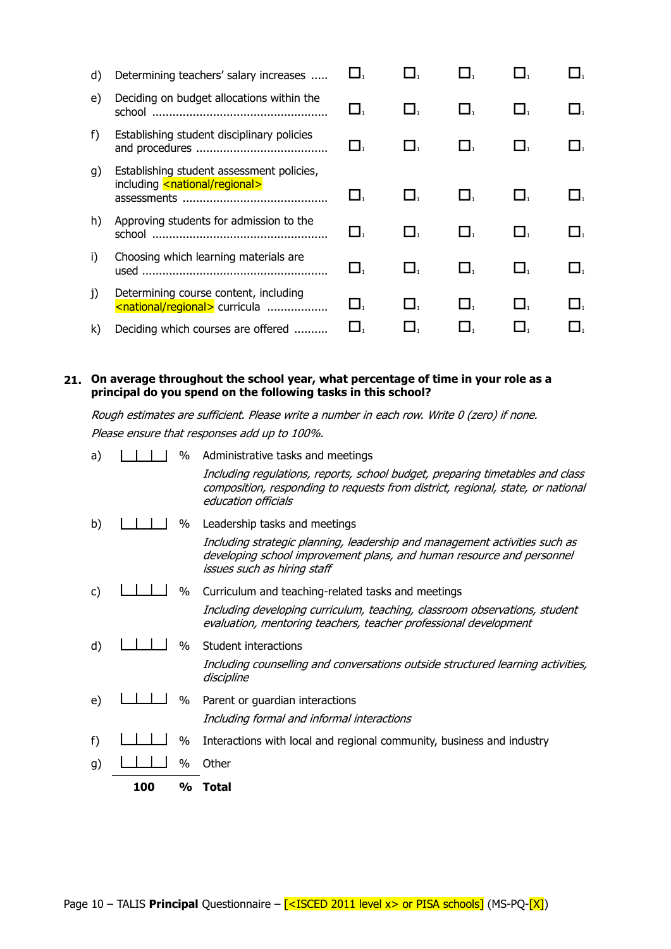| d)     | Determining teachers' salary increases                                                   |      |      |        |    |  |
|--------|------------------------------------------------------------------------------------------|------|------|--------|----|--|
| e)     | Deciding on budget allocations within the<br>school                                      |      |      |        |    |  |
| f)     | Establishing student disciplinary policies                                               | ∐.   |      |        |    |  |
| g)     | Establishing student assessment policies,<br>including <national regional=""></national> |      |      |        |    |  |
| h)     | Approving students for admission to the<br>school                                        | _ І. |      |        |    |  |
| i)     | Choosing which learning materials are                                                    | ▁▌,  |      | Ц.     | ш. |  |
| $_{1}$ | Determining course content, including<br><national regional=""> curricula </national>    | _ І. | L I. | $\Box$ |    |  |
| k)     | Deciding which courses are offered                                                       |      |      |        |    |  |

# **21. On average throughout the school year, what percentage of time in your role as a principal do you spend on the following tasks in this school?**

Rough estimates are sufficient. Please write a number in each row. Write 0 (zero) if none. Please ensure that responses add up to 100%.

|    | 100 | $\frac{1}{2}$ | Total                                                                                                                                                                                                                        |
|----|-----|---------------|------------------------------------------------------------------------------------------------------------------------------------------------------------------------------------------------------------------------------|
| g) |     | %             | Other                                                                                                                                                                                                                        |
| f) |     | %             | Interactions with local and regional community, business and industry                                                                                                                                                        |
| e) |     | $\%$          | Parent or guardian interactions<br>Including formal and informal interactions                                                                                                                                                |
| d) |     | $\%$          | Student interactions<br>Including counselling and conversations outside structured learning activities,<br>discipline                                                                                                        |
| C) |     | %             | Curriculum and teaching-related tasks and meetings<br>Including developing curriculum, teaching, classroom observations, student<br>evaluation, mentoring teachers, teacher professional development                         |
| b) |     | %             | Leadership tasks and meetings<br>Including strategic planning, leadership and management activities such as<br>developing school improvement plans, and human resource and personnel<br>issues such as hiring staff          |
| a) |     | $\%$          | Administrative tasks and meetings<br>Including regulations, reports, school budget, preparing timetables and class<br>composition, responding to requests from district, regional, state, or national<br>education officials |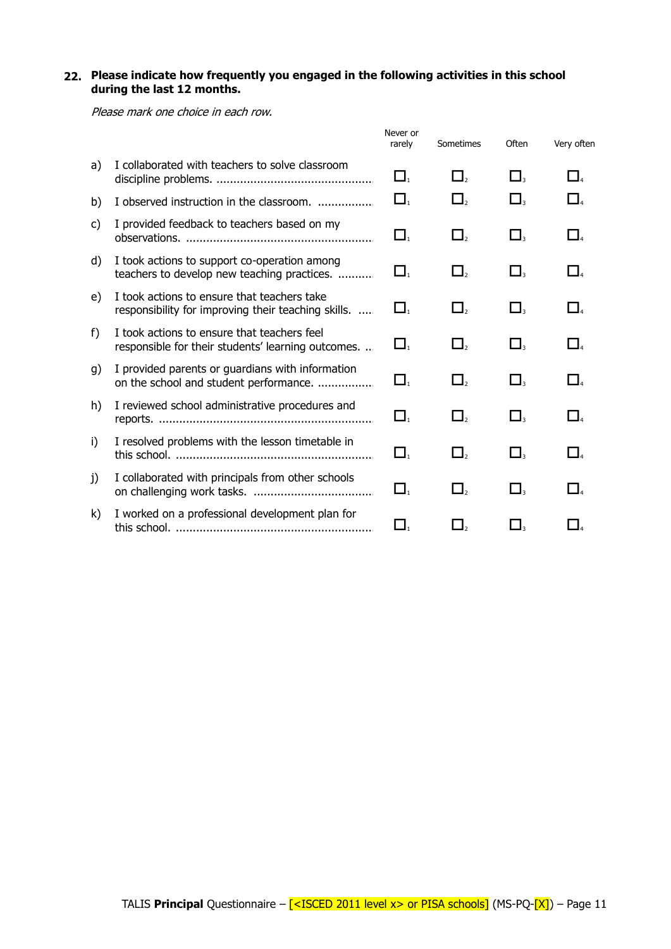# **22. Please indicate how frequently you engaged in the following activities in this school during the last 12 months.**

|    |                                                                                                    | Never or<br>rarely | Sometimes   | <b>Often</b>                     | Very often                     |
|----|----------------------------------------------------------------------------------------------------|--------------------|-------------|----------------------------------|--------------------------------|
| a) | I collaborated with teachers to solve classroom                                                    | $\Box$             | $\square$ , | $\mathsf{\mathbf{\mathsf{L}}}_3$ | $\Box$                         |
| b) | I observed instruction in the classroom.                                                           | $\Box$             | $\Box$ ,    | $\mathsf{\mathbf{\mathsf{L}}}_3$ |                                |
| c) | I provided feedback to teachers based on my                                                        | $\Box$             | $\Box$      | $\Box$                           | $\Box$                         |
| d) | I took actions to support co-operation among<br>teachers to develop new teaching practices.        | $\Box$             | $\Box$ ,    | $\square_{\scriptscriptstyle 3}$ | $\Box$                         |
| e) | I took actions to ensure that teachers take<br>responsibility for improving their teaching skills. | $\Box$             | $\Box$ ,    | $\Box$ <sub>3</sub>              | $\Box$                         |
| f) | I took actions to ensure that teachers feel<br>responsible for their students' learning outcomes   | $\Box$             | $\Box$ ,    | $\Box$                           | $\Box$                         |
| g) | I provided parents or guardians with information<br>on the school and student performance.         | $\Box$             | $\Box$      | $\Box_{\tiny{3}}$                | $\Box_{\scriptscriptstyle{A}}$ |
| h) | I reviewed school administrative procedures and                                                    | $\Box$             | $\Box$      | $\Box$                           | $\Box$                         |
| i) | I resolved problems with the lesson timetable in                                                   | $\Box$             | $\Box$ ,    | $\Box$                           | $\Box$                         |
| j) | I collaborated with principals from other schools                                                  | $\Box$             | $\Box_{2}$  | $\square_{_3}$                   |                                |
| k) | I worked on a professional development plan for                                                    | $\Box$             | $\Box$      | $\mathbf{I}_3$                   |                                |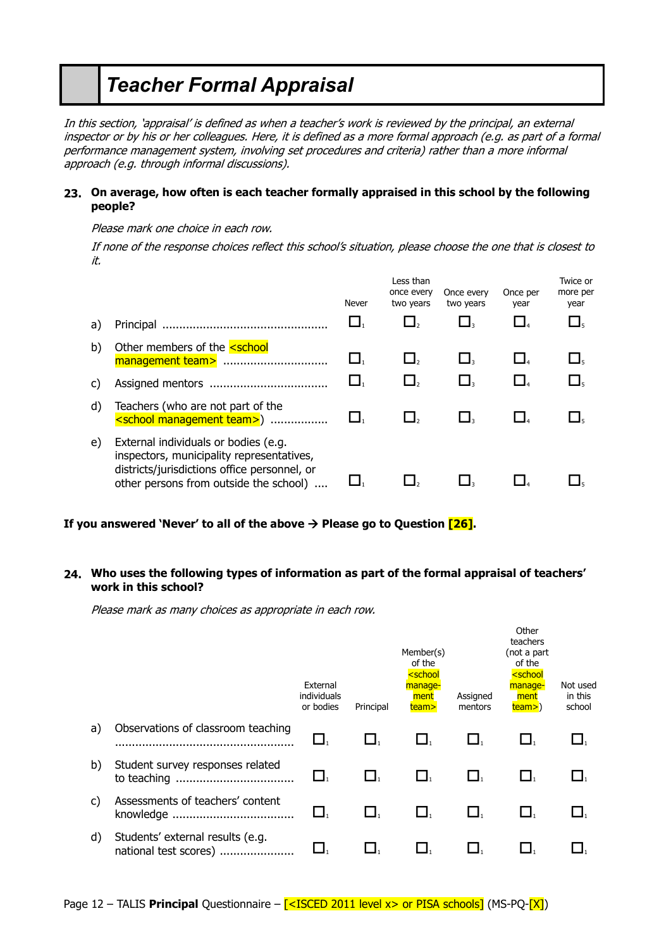# *Teacher Formal Appraisal*

In this section, 'appraisal' is defined as when a teacher's work is reviewed by the principal, an external inspector or by his or her colleagues. Here, it is defined as a more formal approach (e.g. as part of a formal performance management system, involving set procedures and criteria) rather than a more informal approach (e.g. through informal discussions).

# **23. On average, how often is each teacher formally appraised in this school by the following people?**

Please mark one choice in each row.

If none of the response choices reflect this school's situation, please choose the one that is closest to it.

|    |                                                                                                                                                                             | Never | Less than<br>once every<br>two years | Once every<br>two years | Once per<br>year    | Twice or<br>more per<br>year |
|----|-----------------------------------------------------------------------------------------------------------------------------------------------------------------------------|-------|--------------------------------------|-------------------------|---------------------|------------------------------|
| a) |                                                                                                                                                                             |       |                                      |                         | $\Box$ <sub>4</sub> | $\Box$ <sub>5</sub>          |
| b) | Other members of the <b><school< b=""><br/>management team&gt; </school<></b>                                                                                               |       |                                      |                         | $\Box$              | Ц,                           |
| C) |                                                                                                                                                                             |       |                                      |                         |                     |                              |
| d) | Teachers (who are not part of the<br><school management="" team="">) </school>                                                                                              |       |                                      |                         |                     |                              |
| e) | External individuals or bodies (e.g.<br>inspectors, municipality representatives,<br>districts/jurisdictions office personnel, or<br>other persons from outside the school) |       |                                      |                         |                     |                              |

# **If you answered 'Never' to all of the above**  $\rightarrow$  **Please go to Question**  $[26]$ **.**

# **24. Who uses the following types of information as part of the formal appraisal of teachers' work in this school?**

Please mark as many choices as appropriate in each row.

|    |                                                           | External<br>individuals<br>or bodies | Principal | Member(s)<br>of the<br><school<br>manage-<br/>ment<br/>team&gt;</school<br> | Assigned<br>mentors | וסט וט<br>teachers<br>(not a part<br>of the<br><school<br>manage-<br/>ment<br/><math>team</math>)</school<br> | Not used<br>in this<br>school |
|----|-----------------------------------------------------------|--------------------------------------|-----------|-----------------------------------------------------------------------------|---------------------|---------------------------------------------------------------------------------------------------------------|-------------------------------|
| a) | Observations of classroom teaching                        | L 1                                  |           |                                                                             |                     |                                                                                                               |                               |
| b) | Student survey responses related<br>to teaching<br>       | Ц.                                   | $\Box$    | Ц.                                                                          | $\Box$              | Ц,                                                                                                            |                               |
| C) | Assessments of teachers' content                          |                                      |           |                                                                             |                     |                                                                                                               |                               |
| d) | Students' external results (e.g.<br>national test scores) |                                      |           |                                                                             |                     |                                                                                                               |                               |

Other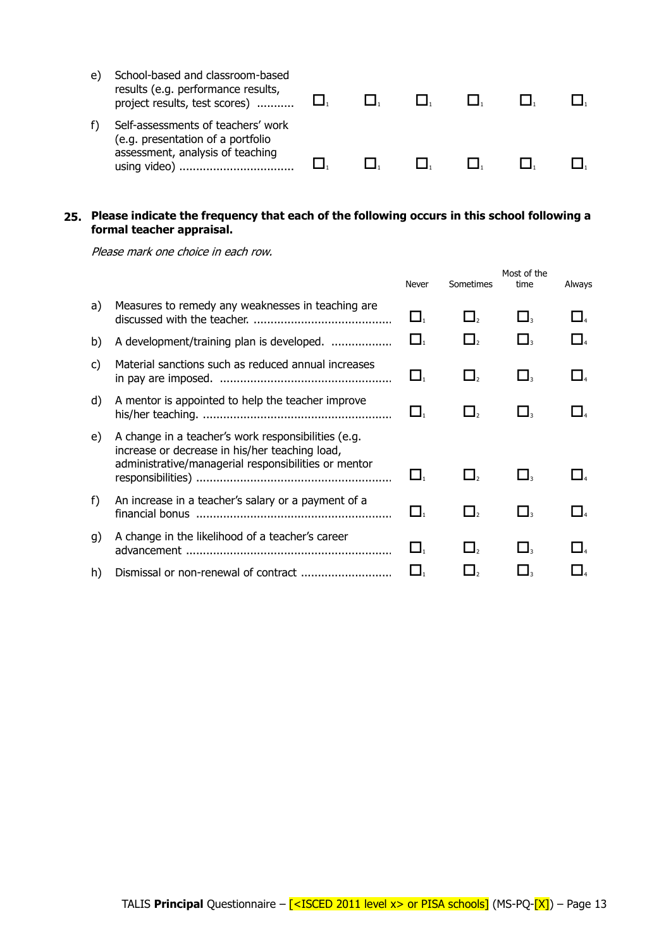| e | School-based and classroom-based<br>results (e.g. performance results,<br>project results, test scores)     |  |  |  |
|---|-------------------------------------------------------------------------------------------------------------|--|--|--|
|   | Self-assessments of teachers' work<br>(e.g. presentation of a portfolio<br>assessment, analysis of teaching |  |  |  |

# **25. Please indicate the frequency that each of the following occurs in this school following a formal teacher appraisal.**

|       |                                                                                                                                                               | Never                             | Sometimes | Most of the<br>time | Always |
|-------|---------------------------------------------------------------------------------------------------------------------------------------------------------------|-----------------------------------|-----------|---------------------|--------|
| a)    | Measures to remedy any weaknesses in teaching are.                                                                                                            | $\Box_1$                          | $\Box$    | $\Box$              |        |
| b)    | A development/training plan is developed.                                                                                                                     | $\square_{\scriptscriptstyle{1}}$ |           |                     |        |
| C)    | Material sanctions such as reduced annual increases                                                                                                           | $\Box_1$                          | $\Box$    | $\Box$              |        |
| d)    | A mentor is appointed to help the teacher improve                                                                                                             |                                   |           |                     |        |
| e)    | A change in a teacher's work responsibilities (e.g.<br>increase or decrease in his/her teaching load,<br>administrative/managerial responsibilities or mentor | $\Box_1$                          |           |                     |        |
| $f$ ) | An increase in a teacher's salary or a payment of a                                                                                                           | $\Box$                            |           |                     |        |
| q)    | A change in the likelihood of a teacher's career                                                                                                              | $\Box_1$                          | $\Box$    | $\Box$              |        |
| h)    |                                                                                                                                                               |                                   |           |                     |        |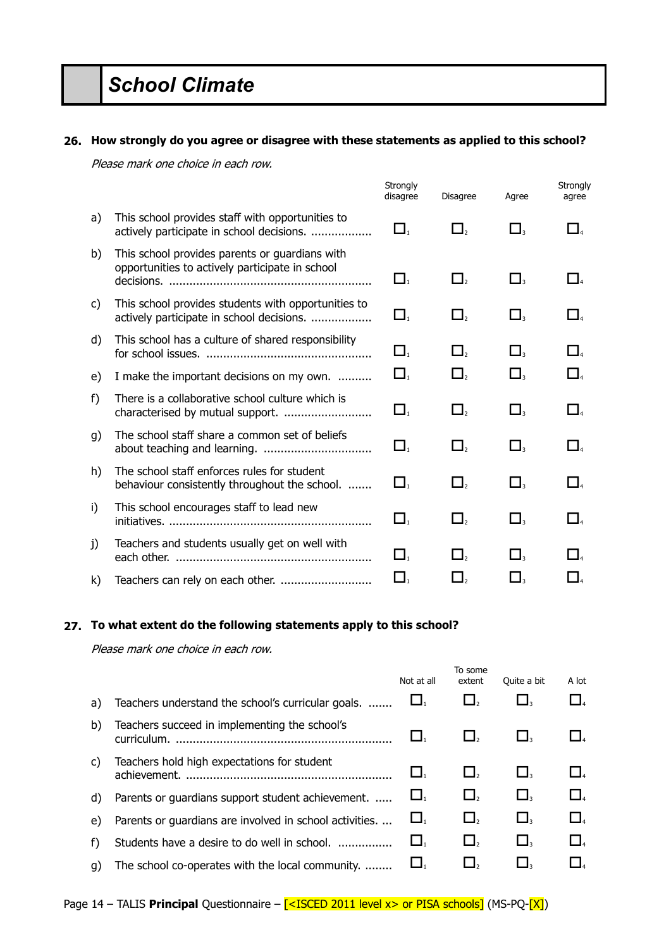# *School Climate*

#### **26. How strongly do you agree or disagree with these statements as applied to this school?**

Please mark one choice in each row.

|    |                                                                                                   | Strongly<br>disagree           | <b>Disagree</b>                  | Agree          | Strongly<br>agree              |
|----|---------------------------------------------------------------------------------------------------|--------------------------------|----------------------------------|----------------|--------------------------------|
| a) | This school provides staff with opportunities to<br>actively participate in school decisions.     | $\Box_{\scriptscriptstyle{1}}$ | $\Box_{\scriptscriptstyle{2}}$   | $\Box_3$       | $\Box_{4}$                     |
| b) | This school provides parents or guardians with<br>opportunities to actively participate in school | $\Box_{\scriptscriptstyle{1}}$ | $\square_{\scriptscriptstyle 2}$ | $\square_{_3}$ | $\Box$                         |
| C) | This school provides students with opportunities to<br>actively participate in school decisions.  | $\Box$                         | $\Box$                           | $\Box_3$       | $\Box$                         |
| d) | This school has a culture of shared responsibility                                                | $\Box$                         | $\Box$                           | $\square$      | $\Box$                         |
| e) | I make the important decisions on my own.                                                         | $\Box$                         | $\Box$ ,                         | $\Box_{_3}$    | $\Box_{\scriptscriptstyle{A}}$ |
| f) | There is a collaborative school culture which is                                                  | $\Box_{\scriptscriptstyle{1}}$ | $\Box_{2}$                       | $\Box$         | $\Box_{\scriptscriptstyle 4}$  |
| g) | The school staff share a common set of beliefs                                                    | $\Box$                         | $\Box$                           | $\Box_{3}$     | $\Box$                         |
| h) | The school staff enforces rules for student<br>behaviour consistently throughout the school.      | $\Box$                         | $\Box$                           | $\Box_{_3}$    | $\Box$                         |
| i) | This school encourages staff to lead new                                                          | $\Box_{\scriptscriptstyle{1}}$ | $\Box$ ,                         | $\Box$         | $\Box$                         |
| j) | Teachers and students usually get on well with                                                    | Ц.                             | $\Box_2$                         | $\Box$         | l L                            |
| k) |                                                                                                   | $\Box_1$                       | $\Box$ <sub>2</sub>              | $\Box$         | $\Box_{4}$                     |

# **27. To what extent do the following statements apply to this school?**

|    |                                                              | Not at all            | To some<br>extent | Quite a bit | A lot    |
|----|--------------------------------------------------------------|-----------------------|-------------------|-------------|----------|
| a) | Teachers understand the school's curricular goals.           |                       |                   | $\Box$ 3    | $\Box$   |
| b) | Teachers succeed in implementing the school's<br>curriculum. |                       |                   |             | $\Box$   |
| C) | Teachers hold high expectations for student<br>achievement.  |                       |                   |             | $\Box$ 4 |
| d) | Parents or guardians support student achievement.            | $\Box_1$              | $\Box$ ,          | $\Box$      | $\Box$   |
| e) | Parents or guardians are involved in school activities.      | $\mathbf{\mathsf{L}}$ | $\Box$            | $\Box$      | $\Box$   |
| f) | Students have a desire to do well in school.                 |                       | $\Box$            | $\Box$      | $\Box$   |
| q) | The school co-operates with the local community.             |                       |                   |             |          |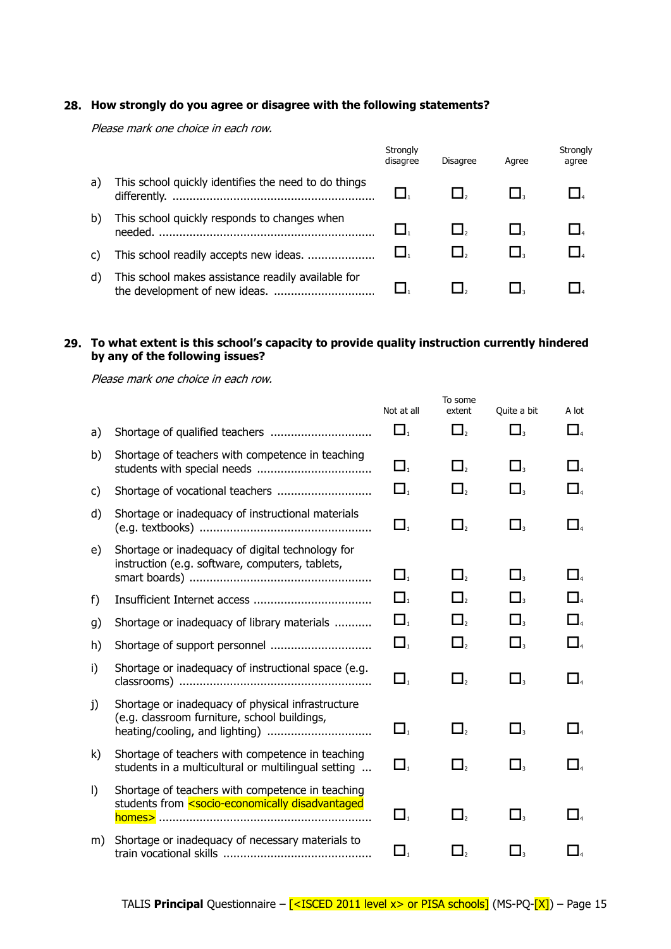# **28. How strongly do you agree or disagree with the following statements?**

Please mark one choice in each row.

|    |                                                         | Strongly<br>disagree | <b>Disagree</b> | Agree | Strongly<br>agree |
|----|---------------------------------------------------------|----------------------|-----------------|-------|-------------------|
| a) | This school quickly identifies the need to do things    |                      |                 |       |                   |
| b) | This school quickly responds to changes when<br>needed. |                      |                 |       |                   |
|    | This school readily accepts new ideas.                  |                      |                 |       |                   |
| d) | This school makes assistance readily available for      |                      |                 |       |                   |

# **29. To what extent is this school's capacity to provide quality instruction currently hindered by any of the following issues?**

|         |                                                                                                                                                                                                                                                 | Not at all                     | To some<br>extent   | Quite a bit                      | A lot               |
|---------|-------------------------------------------------------------------------------------------------------------------------------------------------------------------------------------------------------------------------------------------------|--------------------------------|---------------------|----------------------------------|---------------------|
| a)      |                                                                                                                                                                                                                                                 | $\Box$                         | $\Box$ <sub>2</sub> | $\Box$                           | $\Box$ 4            |
| b)      | Shortage of teachers with competence in teaching                                                                                                                                                                                                | $\Box_{\scriptscriptstyle{1}}$ | $\Box$ ,            | $\Box$                           | $\Box$              |
| C)      |                                                                                                                                                                                                                                                 | $\Box$                         | $\Box$              | $\Box$ <sub>3</sub>              | $\Box$ 4            |
| d)      | Shortage or inadequacy of instructional materials                                                                                                                                                                                               | $\Box_1$                       | $\Box_2$            | $\Box$                           | $\Box$              |
| e)      | Shortage or inadequacy of digital technology for<br>instruction (e.g. software, computers, tablets,                                                                                                                                             | $\Box_{\scriptscriptstyle{1}}$ | $\Box$              | $\Box$                           | $\Box$              |
| f)      |                                                                                                                                                                                                                                                 | $\Box_1$                       | $\square_{2}$       | $\Box_3$                         | $\Box$              |
| g)      | Shortage or inadequacy of library materials                                                                                                                                                                                                     | $\Box_{\cdot}$                 | $\Box_{2}$          | $\Box$                           | $\Box$              |
| h)      | Shortage of support personnel                                                                                                                                                                                                                   | $\Box$                         | $\Box_{2}$          | $\Box$                           | $\Box$ <sub>4</sub> |
| i)      | Shortage or inadequacy of instructional space (e.g.                                                                                                                                                                                             | $\Box_1$                       | $\Box_{2}$          | $\square$                        | $\Box$              |
| j)      | Shortage or inadequacy of physical infrastructure<br>(e.g. classroom furniture, school buildings,                                                                                                                                               | $\Box_{1}$                     | $\Box$              | $\Box$                           | $\Box$              |
| k)      | Shortage of teachers with competence in teaching<br>students in a multicultural or multilingual setting                                                                                                                                         | $\Box_{\scriptscriptstyle{1}}$ | $\Box_{2}$          | $\Box_3$                         | $\Box$              |
| $\vert$ | Shortage of teachers with competence in teaching<br>students from <socio-economically disadvantaged<="" td=""><td><math>\Box</math></td><td><math>\Box</math></td><td><math>\Box</math></td><td><math>\Box_{4}</math></td></socio-economically> | $\Box$                         | $\Box$              | $\Box$                           | $\Box_{4}$          |
| m)      | Shortage or inadequacy of necessary materials to                                                                                                                                                                                                | $\Box_{\scriptscriptstyle 1}$  | $\Box$ ,            | $\square_{\scriptscriptstyle 3}$ | $\Box$              |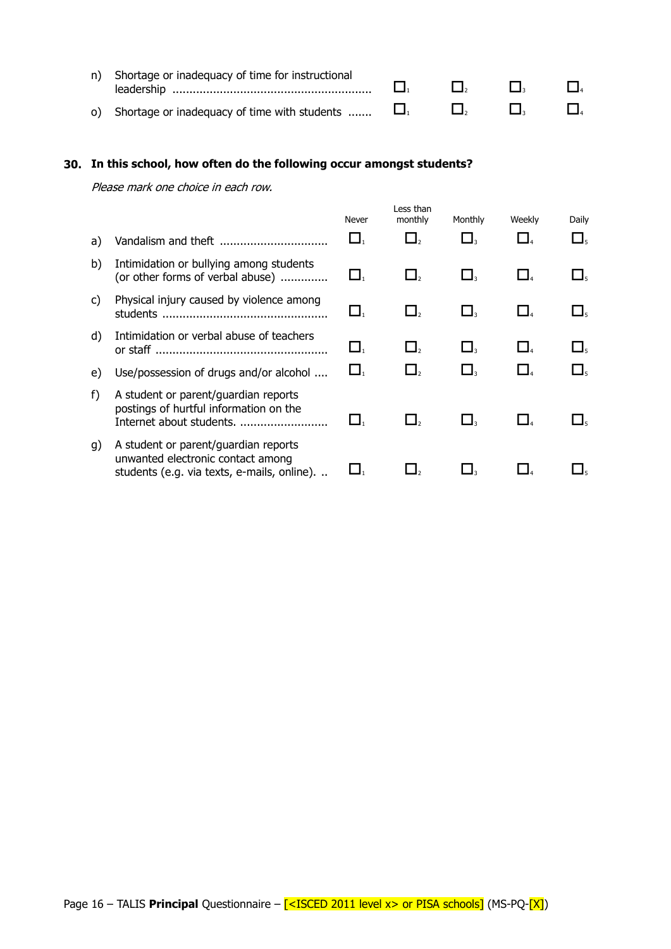| n) Shortage or inadequacy of time for instructional    | $\mathbf{L}$ | $\mathbf{L}$ | $\Box$ |
|--------------------------------------------------------|--------------|--------------|--------|
| o) Shortage or inadequacy of time with students $\Box$ | $\mathbf{L}$ | $\Box$       | $\Box$ |

# **30. In this school, how often do the following occur amongst students?**

| a) | Vandalism and theft                                                                                                      | Never  | Less than<br>monthly | Monthly | Weekly | Daily<br>—l ∈ |
|----|--------------------------------------------------------------------------------------------------------------------------|--------|----------------------|---------|--------|---------------|
| b) | Intimidation or bullying among students<br>(or other forms of verbal abuse)                                              | $\Box$ | 凵,                   | $\Box$  |        | ┙             |
| C) | Physical injury caused by violence among<br>students                                                                     | $\Box$ |                      | $\Box$  |        |               |
| d) | Intimidation or verbal abuse of teachers                                                                                 | ▁▌,    | $\Box$ ,             | $\Box$  |        | ┙             |
| e) | Use/possession of drugs and/or alcohol                                                                                   | $\Box$ | $\Box$               | $\Box$  |        | ┙             |
| f) | A student or parent/guardian reports<br>postings of hurtful information on the<br>Internet about students.               |        |                      |         |        |               |
| g) | A student or parent/guardian reports<br>unwanted electronic contact among<br>students (e.g. via texts, e-mails, online). |        |                      |         |        |               |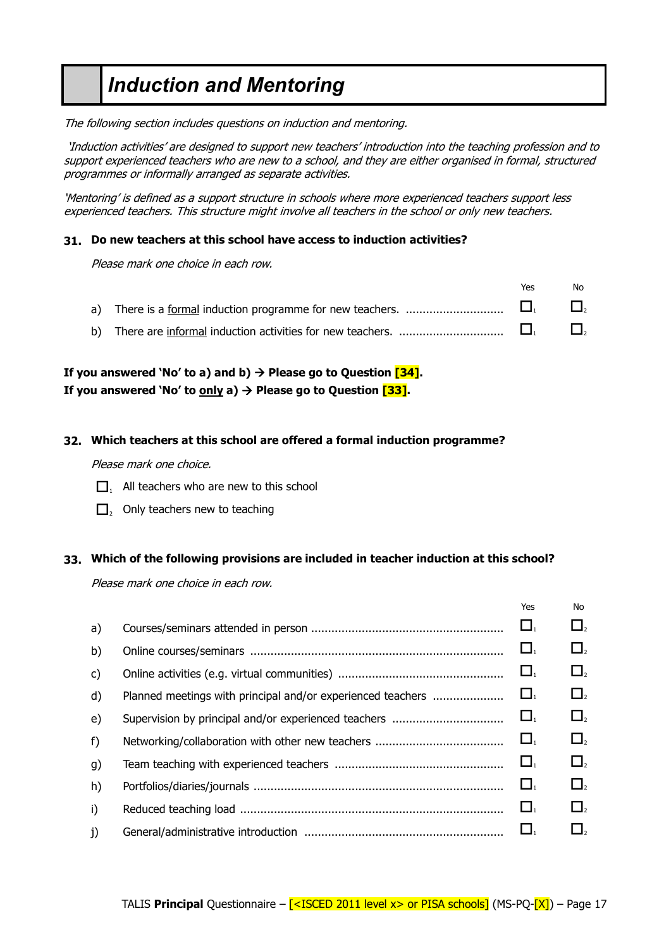# *Induction and Mentoring*

The following section includes questions on induction and mentoring.

'Induction activities' are designed to support new teachers' introduction into the teaching profession and to support experienced teachers who are new to a school, and they are either organised in formal, structured programmes or informally arranged as separate activities.

'Mentoring' is defined as a support structure in schools where more experienced teachers support less experienced teachers. This structure might involve all teachers in the school or only new teachers.

### **31. Do new teachers at this school have access to induction activities?**

Please mark one choice in each row.

|  | Yes. | No |
|--|------|----|
|  |      |    |
|  |      |    |

# **If you answered 'No' to a) and b)**  $\rightarrow$  **Please go to Question**  $\overline{[34]}$ **. If you answered 'No' to**  $\frac{\text{only}}{\text{a}}$  $\rightarrow$  **Please go to Question [33].**

# **32. Which teachers at this school are offered a formal induction programme?**

Please mark one choice.

- $\Box$ . All teachers who are new to this school
- $\Box$ <sub>2</sub> Only teachers new to teaching

# **33. Which of the following provisions are included in teacher induction at this school?**

|              |                                                             | Yes                            | <b>No</b>                      |
|--------------|-------------------------------------------------------------|--------------------------------|--------------------------------|
| a)           |                                                             | $\Box_1$                       | $\Box_{\scriptscriptstyle{2}}$ |
| b)           |                                                             | $\Box_1$                       | $\Box_{\scriptscriptstyle{2}}$ |
| $\mathsf{C}$ |                                                             | $\Box_1$                       | $\Box_{2}$                     |
| $\mathsf{d}$ | Planned meetings with principal and/or experienced teachers | $\Box$                         | $\Box_{2}$                     |
| e)           |                                                             | $\Box_{1}$                     | $\Box_{\scriptscriptstyle{2}}$ |
| $f$ )        |                                                             | $\Box_{1}$                     | $\Box_{2}$                     |
| g)           |                                                             | $\Box_{1}$                     | $\Box_{\scriptscriptstyle{2}}$ |
| h)           |                                                             | $\Box_{1}$                     | $\Box$                         |
| $\mathbf{i}$ |                                                             | $\Box_{\scriptscriptstyle{1}}$ | $\Box_{\scriptscriptstyle{2}}$ |
| j)           |                                                             | $\Box_1$                       | $\Box$ <sub>2</sub>            |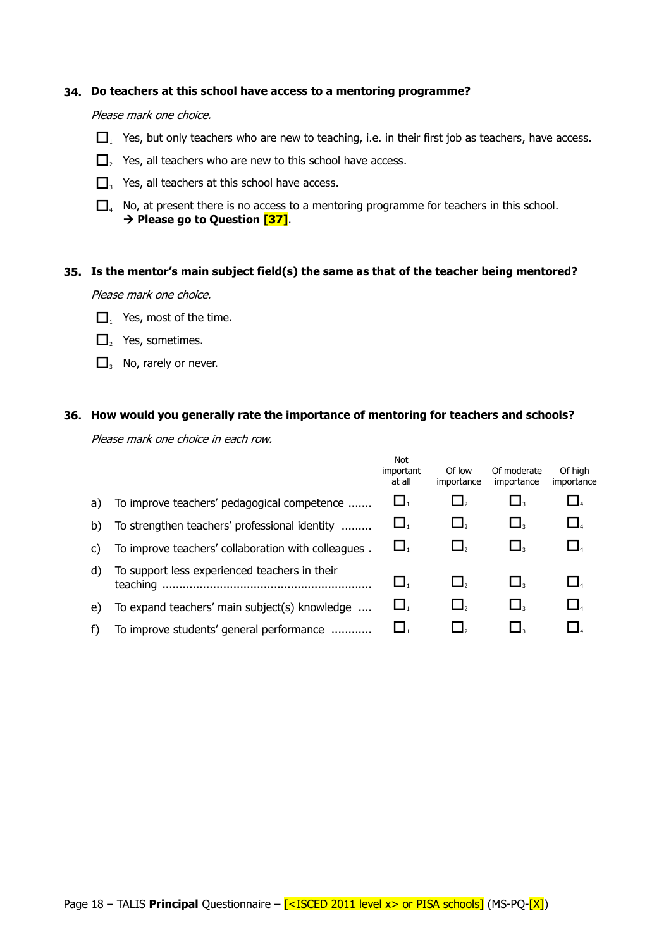#### **34. Do teachers at this school have access to a mentoring programme?**

#### Please mark one choice.

- $\Box$ , Yes, but only teachers who are new to teaching, i.e. in their first job as teachers, have access.
- $\Box$ <sub>2</sub> Yes, all teachers who are new to this school have access.
- $\Box$ , Yes, all teachers at this school have access.
- $\Box$ . No, at present there is no access to a mentoring programme for teachers in this school. **Please go to Question [37]**.

#### **35. Is the mentor's main subject field(s) the same as that of the teacher being mentored?**

Please mark one choice.

- $\Box$ , Yes, most of the time.
- $\Box$ , Yes, sometimes.
- $\Box$ , No, rarely or never.

#### **36. How would you generally rate the importance of mentoring for teachers and schools?**

|    |                                                           | Not<br>important<br>at all | Of low<br>importance | Of moderate<br>importance | Of high<br>importance |
|----|-----------------------------------------------------------|----------------------------|----------------------|---------------------------|-----------------------|
| a) | To improve teachers' pedagogical competence               | $\Box_1$                   | $\Box$               |                           |                       |
| b) | To strengthen teachers' professional identity             | $\Box_1$                   | $\Box$               |                           | $\Box$                |
| C) | To improve teachers' collaboration with colleagues.       | $\Box_1$                   | $\Box$               | $\Box$                    |                       |
| d) | To support less experienced teachers in their<br>teaching | ⊔,                         | $\Box$ ,             |                           |                       |
| e) | To expand teachers' main subject(s) knowledge             | $\Box_1$                   | $\Box$ ,             |                           | $\Box$                |
|    | To improve students' general performance                  | $\Box$ ,                   |                      |                           |                       |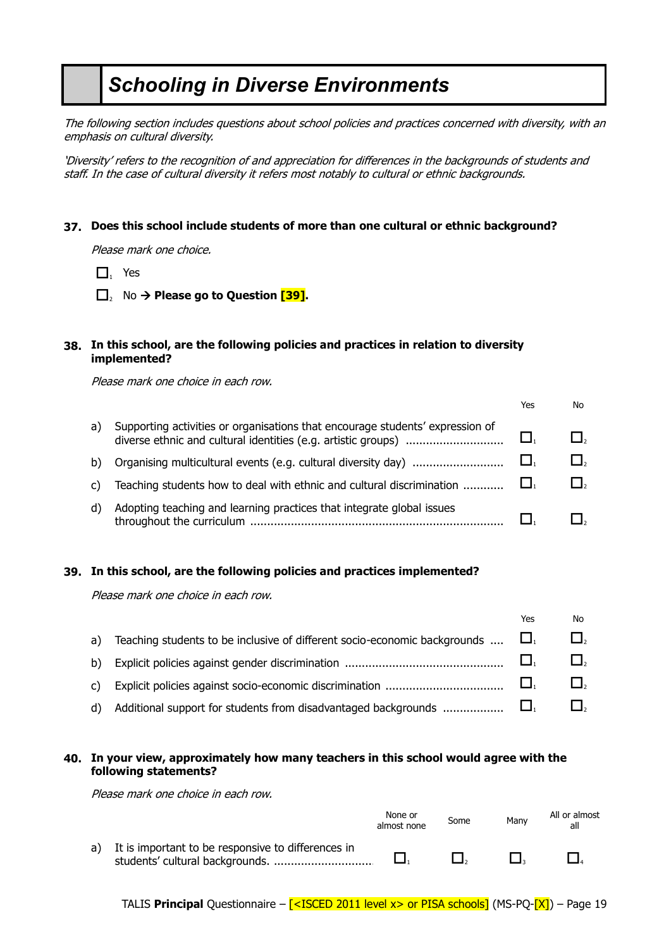# *Schooling in Diverse Environments*

The following section includes questions about school policies and practices concerned with diversity, with an emphasis on cultural diversity.

'Diversity' refers to the recognition of and appreciation for differences in the backgrounds of students and staff. In the case of cultural diversity it refers most notably to cultural or ethnic backgrounds.

# **37. Does this school include students of more than one cultural or ethnic background?**

Please mark one choice.

- $\Box$  Yes
- □, No → Please go to Question <sup>[39]</sup>.

# **38. In this school, are the following policies and practices in relation to diversity implemented?**

Please mark one choice in each row.

|    |                                                                               | Yes | No. |
|----|-------------------------------------------------------------------------------|-----|-----|
| a) | Supporting activities or organisations that encourage students' expression of |     |     |
| b) |                                                                               |     |     |
| C) | Teaching students how to deal with ethnic and cultural discrimination         |     |     |
| d) | Adopting teaching and learning practices that integrate global issues         |     |     |

# **39. In this school, are the following policies and practices implemented?**

Please mark one choice in each row.

|                                                                                     | Yes | No                  |
|-------------------------------------------------------------------------------------|-----|---------------------|
| a) Teaching students to be inclusive of different socio-economic backgrounds $\Box$ |     | $\Box$ <sub>2</sub> |
|                                                                                     |     |                     |
|                                                                                     |     | $\Box$ ,            |
| d) Additional support for students from disadvantaged backgrounds $\Box$ $\square$  |     |                     |

# **40. In your view, approximately how many teachers in this school would agree with the following statements?**

|                                                       | None or<br>almost none | Some | Many | All or almost<br>all |
|-------------------------------------------------------|------------------------|------|------|----------------------|
| a) It is important to be responsive to differences in |                        |      |      |                      |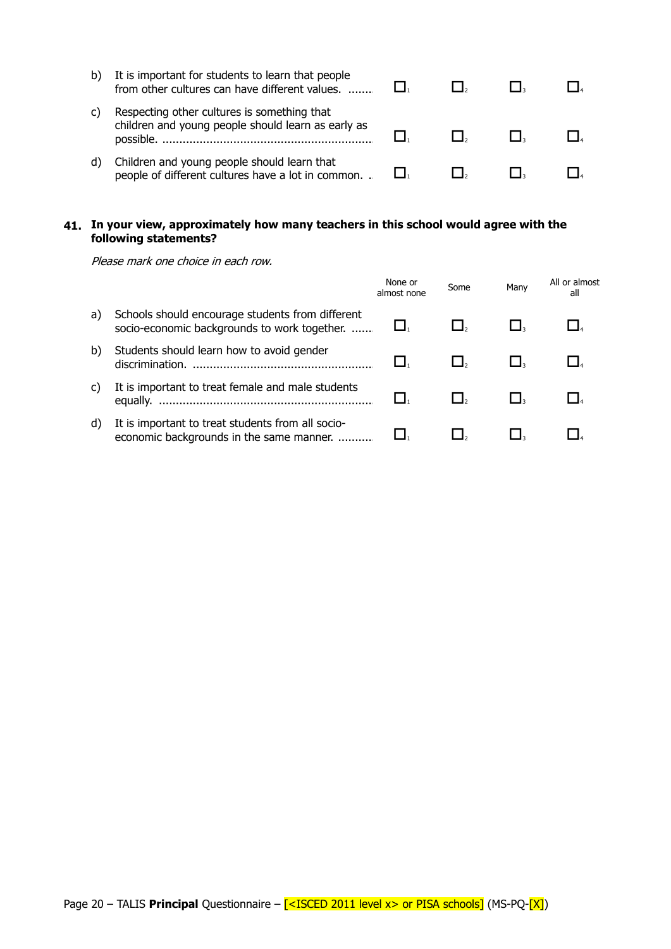| It is important for students to learn that people<br>from other cultures can have different values.            |  |  |
|----------------------------------------------------------------------------------------------------------------|--|--|
| Respecting other cultures is something that<br>children and young people should learn as early as<br>possible. |  |  |
| Children and young people should learn that<br>people of different cultures have a lot in common               |  |  |

# **41. In your view, approximately how many teachers in this school would agree with the following statements?**

|    |                                                                                                  | None or<br>almost none | Some | Many | All or almost<br>all |
|----|--------------------------------------------------------------------------------------------------|------------------------|------|------|----------------------|
| a) | Schools should encourage students from different<br>socio-economic backgrounds to work together. |                        |      |      |                      |
| b) | Students should learn how to avoid gender<br>discrimination.                                     |                        |      |      |                      |
| C) | It is important to treat female and male students                                                |                        |      |      |                      |
| d) | It is important to treat students from all socio-<br>economic backgrounds in the same manner.    |                        |      |      |                      |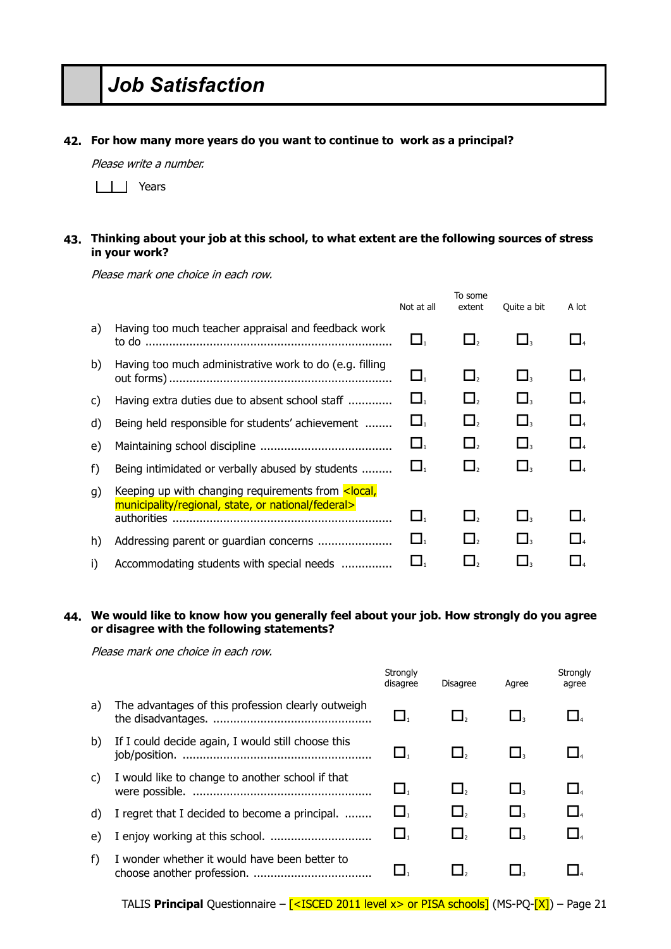# *Job Satisfaction*

#### **42. For how many more years do you want to continue to work as a principal?**

Please write a number.

| | | Years

### **43. Thinking about your job at this school, to what extent are the following sources of stress in your work?**

Please mark one choice in each row.

|    |                                                                                                                         | Not at all     | To some<br>extent   | Quite a bit              | A lot               |
|----|-------------------------------------------------------------------------------------------------------------------------|----------------|---------------------|--------------------------|---------------------|
| a) | Having too much teacher appraisal and feedback work<br>to do ……………………………………………………………                                    |                | $\Box_2$            | ⊔.                       | $\Box$ <sub>4</sub> |
| b) | Having too much administrative work to do (e.g. filling                                                                 | $\Box_1$       | $\Box$ ,            | $\sqcup_\text{\tiny{3}}$ | $\Box$              |
| C) | Having extra duties due to absent school staff                                                                          | $\mathbf{L}_1$ | $\Box$ ,            | $\Box$ <sub>3</sub>      | $\Box$ 4            |
| d) | Being held responsible for students' achievement                                                                        | $\Box_1$       | $\Box$              | $\Box$                   | $\Box$ 4            |
| e) |                                                                                                                         | $\Box$         | $\Box$ <sub>2</sub> | $\Box$                   | $\Box$ 4            |
| f) | Being intimidated or verbally abused by students                                                                        | $\Box$         | $\Box$              | $\Box$                   | $\Box$              |
| g) | Keeping up with changing requirements from <local,<br>municipality/regional, state, or national/federal&gt;</local,<br> |                |                     |                          |                     |
|    | authorities                                                                                                             | $\Box_1$       | $\Box$              | $\Box$                   | $\Box$              |
| h) | Addressing parent or guardian concerns                                                                                  | Ц.             | $\Box$ <sub>2</sub> | $\Box$                   | $\Box$              |
| i) | Accommodating students with special needs                                                                               | LJ.            |                     |                          |                     |

# **44. We would like to know how you generally feel about your job. How strongly do you agree or disagree with the following statements?**

|    |                                                    | Strongly<br>disagree | <b>Disagree</b> | Agree                                    | Strongly<br>agree              |
|----|----------------------------------------------------|----------------------|-----------------|------------------------------------------|--------------------------------|
| a) | The advantages of this profession clearly outweigh | $\Box_1$             |                 |                                          |                                |
| b) | If I could decide again, I would still choose this | $\Box_1$             |                 |                                          |                                |
| C) | I would like to change to another school if that   | $\mathbf{L}_1$       | $\Box$          | $\mathsf{\mathbf{\mathsf{L}}}\mathsf{L}$ | $\Box$                         |
| d) | I regret that I decided to become a principal.     | $\Box$               | $\Box$ ,        | $\Box$                                   | $\Box_{\scriptscriptstyle{4}}$ |
| e) |                                                    | $\Box_1$             | $\Box$          |                                          | $\Box$                         |
| f) | I wonder whether it would have been better to      |                      |                 |                                          |                                |